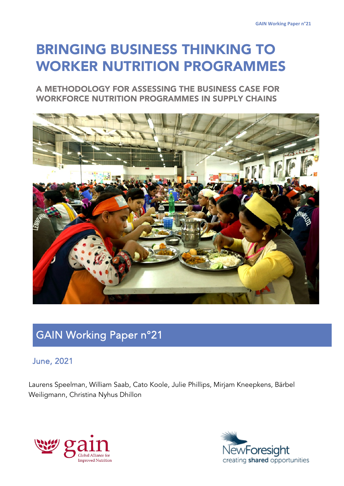# BRINGING BUSINESS THINKING TO WORKER NUTRITION PROGRAMMES

A METHODOLOGY FOR ASSESSING THE BUSINESS CASE FOR WORKFORCE NUTRITION PROGRAMMES IN SUPPLY CHAINS



# GAIN Working Paper n°21

# June, 2021

Laurens Speelman, William Saab, Cato Koole, Julie Phillips, Mirjam Kneepkens, Bärbel Weiligmann, Christina Nyhus Dhillon



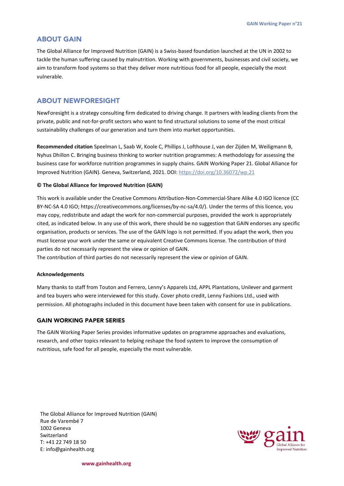#### ABOUT GAIN

The Global Alliance for Improved Nutrition (GAIN) is a Swiss-based foundation launched at the UN in 2002 to tackle the human suffering caused by malnutrition. Working with governments, businesses and civil society, we aim to transform food systems so that they deliver more nutritious food for all people, especially the most vulnerable.

## ABOUT NEWFORESIGHT

NewForesight is a strategy consulting firm dedicated to driving change. It partners with leading clients from the private, public and not-for-profit sectors who want to find structural solutions to some of the most critical sustainability challenges of our generation and turn them into market opportunities.

**Recommended citation** Speelman L, Saab W, Koole C, Phillips J, Lofthouse J, van der Zijden M, Weiligmann B, Nyhus Dhillon C. Bringing business thinking to worker nutrition programmes: A methodology for assessing the business case for workforce nutrition programmes in supply chains. GAIN Working Paper 21. Global Alliance for Improved Nutrition (GAIN). Geneva, Switzerland, 2021. DOI[: https://doi.org/10.36072/wp.21](https://doi.org/10.36072/wp.21)

#### **© The Global Alliance for Improved Nutrition (GAIN)**

This work is available under the Creative Commons Attribution-Non-Commercial-Share Alike 4.0 IGO licence (CC BY-NC-SA 4.0 IGO; https://creativecommons.org/licenses/by-nc-sa/4.0/). Under the terms of this licence, you may copy, redistribute and adapt the work for non-commercial purposes, provided the work is appropriately cited, as indicated below. In any use of this work, there should be no suggestion that GAIN endorses any specific organisation, products or services. The use of the GAIN logo is not permitted. If you adapt the work, then you must license your work under the same or equivalent Creative Commons license. The contribution of third parties do not necessarily represent the view or opinion of GAIN.

The contribution of third parties do not necessarily represent the view or opinion of GAIN.

#### **Acknowledgements**

Many thanks to staff from Touton and Ferrero, Lenny's Apparels Ltd, APPL Plantations, Unilever and garment and tea buyers who were interviewed for this study. Cover photo credit, Lenny Fashions Ltd., used with permission. All photographs included in this document have been taken with consent for use in publications.

#### GAIN WORKING PAPER SERIES

The GAIN Working Paper Series provides informative updates on programme approaches and evaluations, research, and other topics relevant to helping reshape the food system to improve the consumption of nutritious, safe food for all people, especially the most vulnerable.

The Global Alliance for Improved Nutrition (GAIN) Rue de Varembé 7 1002 Geneva Switzerland T: +41 22 749 18 50 E: info@gainhealth.org



**www.gainhealth.org**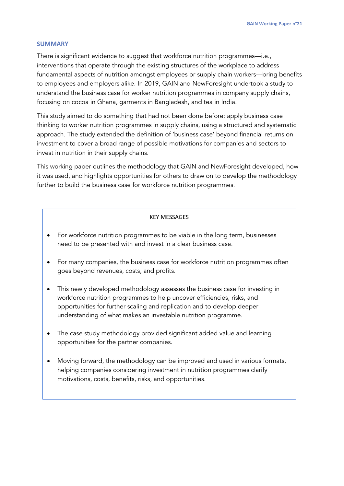#### **SUMMARY**

There is significant evidence to suggest that workforce nutrition programmes—i.e., interventions that operate through the existing structures of the workplace to address fundamental aspects of nutrition amongst employees or supply chain workers—bring benefits to employees and employers alike. In 2019, GAIN and NewForesight undertook a study to understand the business case for worker nutrition programmes in company supply chains, focusing on cocoa in Ghana, garments in Bangladesh, and tea in India.

This study aimed to do something that had not been done before: apply business case thinking to worker nutrition programmes in supply chains, using a structured and systematic approach. The study extended the definition of 'business case' beyond financial returns on investment to cover a broad range of possible motivations for companies and sectors to invest in nutrition in their supply chains.

This working paper outlines the methodology that GAIN and NewForesight developed, how it was used, and highlights opportunities for others to draw on to develop the methodology further to build the business case for workforce nutrition programmes.

#### KEY MESSAGES

- For workforce nutrition programmes to be viable in the long term, businesses need to be presented with and invest in a clear business case.
- For many companies, the business case for workforce nutrition programmes often goes beyond revenues, costs, and profits.
- This newly developed methodology assesses the business case for investing in workforce nutrition programmes to help uncover efficiencies, risks, and opportunities for further scaling and replication and to develop deeper understanding of what makes an investable nutrition programme.
- The case study methodology provided significant added value and learning opportunities for the partner companies.
- Moving forward, the methodology can be improved and used in various formats, helping companies considering investment in nutrition programmes clarify motivations, costs, benefits, risks, and opportunities.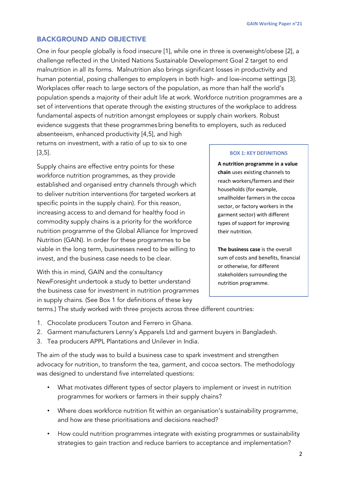# BACKGROUND AND OBJECTIVE

One in four people globally is food insecure [1], while one in three is overweight/obese [2], a challenge reflected in the United Nations Sustainable Development Goal 2 target to end malnutrition in all its forms. Malnutrition also brings significant losses in productivity and human potential, posing challenges to employers in both high- and low-income settings [3]. Workplaces offer reach to large sectors of the population, as more than half the world's population spends a majority of their adult life at work. Workforce nutrition programmes are a set of interventions that operate through the existing structures of the workplace to address fundamental aspects of nutrition amongst employees or supply chain workers. Robust evidence suggests that these programmes bring benefits to employers, such as reduced absenteeism, enhanced productivity [4,5], and high

returns on investment, with a ratio of up to six to one [3,5].

Supply chains are effective entry points for these workforce nutrition programmes, as they provide established and organised entry channels through which to deliver nutrition interventions (for targeted workers at specific points in the supply chain). For this reason, increasing access to and demand for healthy food in commodity supply chains is a priority for the workforce nutrition programme of the Global Alliance for Improved Nutrition (GAIN). In order for these programmes to be viable in the long term, businesses need to be willing to invest, and the business case needs to be clear.

With this in mind, GAIN and the consultancy NewForesight undertook a study to better understand the business case for investment in nutrition programmes in supply chains. (See Box 1 for definitions of these key

#### **BOX 1: KEY DEFINITIONS**

**A nutrition programme in a value chain** uses existing channels to reach workers/farmers and their households (for example, smallholder farmers in the cocoa sector, or factory workers in the garment sector) with different types of support for improving their nutrition.

**The business case** is the overall sum of costs and benefits, financial or otherwise, for different stakeholders surrounding the nutrition programme.

terms.) The study worked with three projects across three different countries:

- 1. Chocolate producers Touton and Ferrero in Ghana.
- 2. Garment manufacturers Lenny's Apparels Ltd and garment buyers in Bangladesh.
- 3. Tea producers APPL Plantations and Unilever in India.

The aim of the study was to build a business case to spark investment and strengthen advocacy for nutrition, to transform the tea, garment, and cocoa sectors. The methodology was designed to understand five interrelated questions:

- What motivates different types of sector players to implement or invest in nutrition programmes for workers or farmers in their supply chains?
- Where does workforce nutrition fit within an organisation's sustainability programme, and how are these prioritisations and decisions reached?
- How could nutrition programmes integrate with existing programmes or sustainability strategies to gain traction and reduce barriers to acceptance and implementation?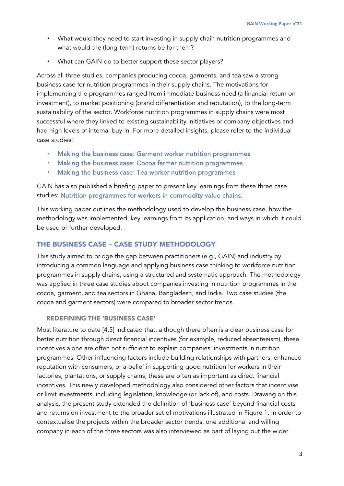- What would they need to start investing in supply chain nutrition programmes and what would the (long-term) returns be for them?
- What can GAIN do to better support these sector players?

Across all three studies, companies producing cocoa, garments, and tea saw a strong business case for nutrition programmes in their supply chains. The motivations for implementing the programmes ranged from immediate business need (a financial return on investment), to market positioning (brand differentiation and reputation), to the long-term sustainability of the sector. Workforce nutrition programmes in supply chains were most successful where they linked to existing sustainability initiatives or company objectives and had high levels of internal buy-in. For more detailed insights, please refer to the individual case studies:

- [Making the business case: Garment worker nutrition programmes](http://bit.ly/2vrW7gP)
- [Making the business case: Cocoa farmer nutrition programmes](http://bit.ly/31fyIJD)
- [Making the business case: Tea worker nutrition programmes](http://bit.ly/38z7Jxn)

GAIN has also published a briefing paper to present key learnings from these three case studies: [Nutrition programmes for workers in commodity value chains.](https://www.gainhealth.org/resources/reports-and-publications/gain-briefing-paper-series-3-nutrition-programmes-workers-commodity-value-chains)

This working paper outlines the methodology used to develop the business case, how the methodology was implemented, key learnings from its application, and ways in which it could be used or further developed.

# THE BUSINESS CASE – CASE STUDY METHODOLOGY

This study aimed to bridge the gap between practitioners (e.g., GAIN) and industry by introducing a common language and applying business case thinking to workforce nutrition programmes in supply chains, using a structured and systematic approach. The methodology was applied in three case studies about companies investing in nutrition programmes in the cocoa, garment, and tea sectors in Ghana, Bangladesh, and India. Two case studies (the cocoa and garment sectors) were compared to broader sector trends.

# REDEFINING THE 'BUSINESS CASE'

Most literature to date [4,5] indicated that, although there often is a clear business case for better nutrition through direct financial incentives (for example, reduced absenteeism), these incentives alone are often not sufficient to explain companies' investments in nutrition programmes. Other influencing factors include building relationships with partners, enhanced reputation with consumers, or a belief in supporting good nutrition for workers in their factories, plantations, or supply chains; these are often as important as direct financial incentives. This newly developed methodology also considered other factors that incentivise or limit investments, including legislation, knowledge (or lack of), and costs. Drawing on this analysis, the present study extended the definition of 'business case' beyond financial costs and returns on investment to the broader set of motivations illustrated in Figure 1. In order to contextualise the projects within the broader sector trends, one additional and willing company in each of the three sectors was also interviewed as part of laying out the wider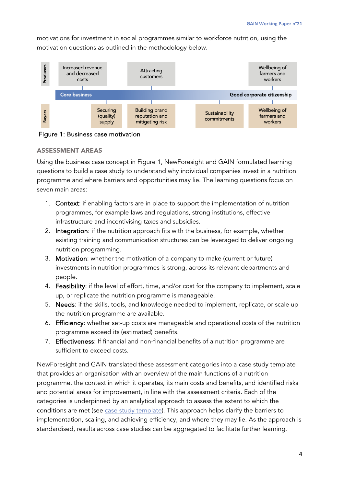motivations for investment in social programmes similar to workforce nutrition, using the motivation questions as outlined in the methodology below.



Figure 1: Business case motivation

# ASSESSMENT AREAS

Using the business case concept in Figure 1, NewForesight and GAIN formulated learning questions to build a case study to understand why individual companies invest in a nutrition programme and where barriers and opportunities may lie. The learning questions focus on seven main areas:

- 1. Context: if enabling factors are in place to support the implementation of nutrition programmes, for example laws and regulations, strong institutions, effective infrastructure and incentivising taxes and subsidies.
- 2. Integration: if the nutrition approach fits with the business, for example, whether existing training and communication structures can be leveraged to deliver ongoing nutrition programming.
- 3. Motivation: whether the motivation of a company to make (current or future) investments in nutrition programmes is strong, across its relevant departments and people.
- 4. Feasibility: if the level of effort, time, and/or cost for the company to implement, scale up, or replicate the nutrition programme is manageable.
- 5. Needs: if the skills, tools, and knowledge needed to implement, replicate, or scale up the nutrition programme are available.
- 6. Efficiency: whether set-up costs are manageable and operational costs of the nutrition programme exceed its (estimated) benefits.
- 7. Effectiveness: If financial and non-financial benefits of a nutrition programme are sufficient to exceed costs.

NewForesight and GAIN translated these assessment categories into a case study template that provides an organisation with an overview of the main functions of a nutrition programme, the context in which it operates, its main costs and benefits, and identified risks and potential areas for improvement, in line with the assessment criteria. Each of the categories is underpinned by an analytical approach to assess the extent to which the conditions are met (see [case study template\)](https://www.gainhealth.org/sites/default/files/publications/documents/supply-chain-nutrition-program-case-study-template.pdf). This approach helps clarify the barriers to implementation, scaling, and achieving efficiency, and where they may lie. As the approach is standardised, results across case studies can be aggregated to facilitate further learning.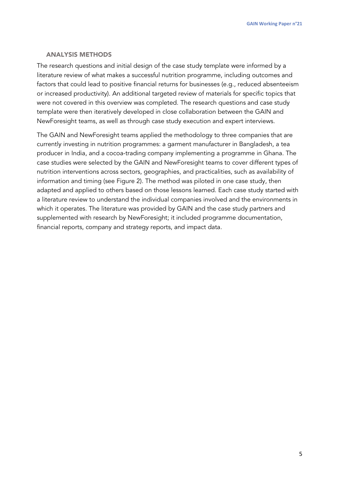#### ANALYSIS METHODS

The research questions and initial design of the case study template were informed by a literature review of what makes a successful nutrition programme, including outcomes and factors that could lead to positive financial returns for businesses (e.g., reduced absenteeism or increased productivity). An additional targeted review of materials for specific topics that were not covered in this overview was completed. The research questions and case study template were then iteratively developed in close collaboration between the GAIN and NewForesight teams, as well as through case study execution and expert interviews.

The GAIN and NewForesight teams applied the methodology to three companies that are currently investing in nutrition programmes: a garment manufacturer in Bangladesh, a tea producer in India, and a cocoa-trading company implementing a programme in Ghana. The case studies were selected by the GAIN and NewForesight teams to cover different types of nutrition interventions across sectors, geographies, and practicalities, such as availability of information and timing (see Figure 2). The method was piloted in one case study, then adapted and applied to others based on those lessons learned. Each case study started with a literature review to understand the individual companies involved and the environments in which it operates. The literature was provided by GAIN and the case study partners and supplemented with research by NewForesight; it included programme documentation, financial reports, company and strategy reports, and impact data.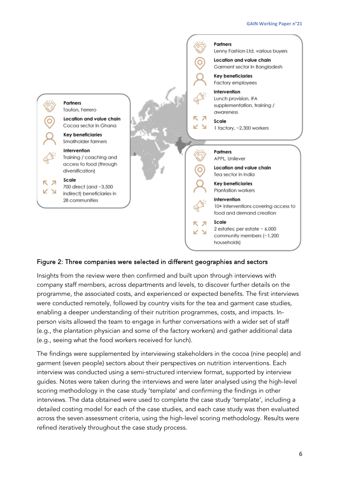

### Figure 2: Three companies were selected in different geographies and sectors

Insights from the review were then confirmed and built upon through interviews with company staff members, across departments and levels, to discover further details on the programme, the associated costs, and experienced or expected benefits. The first interviews were conducted remotely, followed by country visits for the tea and garment case studies, enabling a deeper understanding of their nutrition programmes, costs, and impacts. Inperson visits allowed the team to engage in further conversations with a wider set of staff (e.g., the plantation physician and some of the factory workers) and gather additional data (e.g., seeing what the food workers received for lunch).

The findings were supplemented by interviewing stakeholders in the cocoa (nine people) and garment (seven people) sectors about their perspectives on nutrition interventions. Each interview was conducted using a semi-structured interview format, supported by interview guides. Notes were taken during the interviews and were later analysed using the high-level scoring methodology in the case study 'template' and confirming the findings in other interviews. The data obtained were used to complete the case study 'template', including a detailed costing model for each of the case studies, and each case study was then evaluated across the seven assessment criteria, using the high-level scoring methodology. Results were refined iteratively throughout the case study process.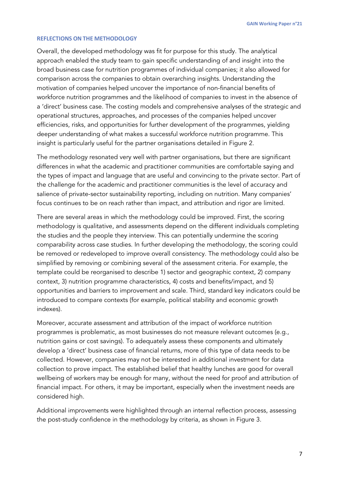#### **REFLECTIONS ON THE METHODOLOGY**

Overall, the developed methodology was fit for purpose for this study. The analytical approach enabled the study team to gain specific understanding of and insight into the broad business case for nutrition programmes of individual companies; it also allowed for comparison across the companies to obtain overarching insights. Understanding the motivation of companies helped uncover the importance of non-financial benefits of workforce nutrition programmes and the likelihood of companies to invest in the absence of a 'direct' business case. The costing models and comprehensive analyses of the strategic and operational structures, approaches, and processes of the companies helped uncover efficiencies, risks, and opportunities for further development of the programmes, yielding deeper understanding of what makes a successful workforce nutrition programme. This insight is particularly useful for the partner organisations detailed in Figure 2.

The methodology resonated very well with partner organisations, but there are significant differences in what the academic and practitioner communities are comfortable saying and the types of impact and language that are useful and convincing to the private sector. Part of the challenge for the academic and practitioner communities is the level of accuracy and salience of private-sector sustainability reporting, including on nutrition. Many companies' focus continues to be on reach rather than impact, and attribution and rigor are limited.

There are several areas in which the methodology could be improved. First, the scoring methodology is qualitative, and assessments depend on the different individuals completing the studies and the people they interview. This can potentially undermine the scoring comparability across case studies. In further developing the methodology, the scoring could be removed or redeveloped to improve overall consistency. The methodology could also be simplified by removing or combining several of the assessment criteria. For example, the template could be reorganised to describe 1) sector and geographic context, 2) company context, 3) nutrition programme characteristics, 4) costs and benefits/impact, and 5) opportunities and barriers to improvement and scale. Third, standard key indicators could be introduced to compare contexts (for example, political stability and economic growth indexes).

Moreover, accurate assessment and attribution of the impact of workforce nutrition programmes is problematic, as most businesses do not measure relevant outcomes (e.g., nutrition gains or cost savings). To adequately assess these components and ultimately develop a 'direct' business case of financial returns, more of this type of data needs to be collected. However, companies may not be interested in additional investment for data collection to prove impact. The established belief that healthy lunches are good for overall wellbeing of workers may be enough for many, without the need for proof and attribution of financial impact. For others, it may be important, especially when the investment needs are considered high.

Additional improvements were highlighted through an internal reflection process, assessing the post-study confidence in the methodology by criteria, as shown in Figure 3.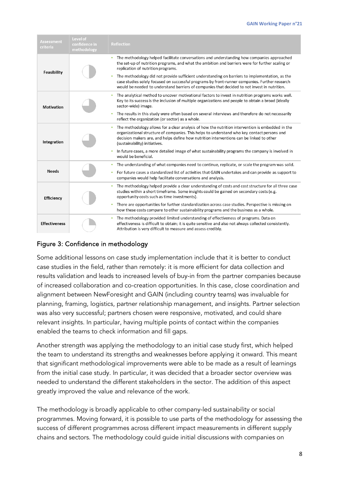| Assessment<br>criteria | <b>Level of</b><br>confidence in<br>methodology | <b>Reflection</b>                                                                                                                                                                                                                                                                                                                                |
|------------------------|-------------------------------------------------|--------------------------------------------------------------------------------------------------------------------------------------------------------------------------------------------------------------------------------------------------------------------------------------------------------------------------------------------------|
| Feasibility            |                                                 | The methodology helped facilitate conversations and understanding how companies approached<br>٠<br>the set-up of nutrition programs, and what the ambition and barriers were for further scaling or<br>replication of nutrition programs.<br>The methodology did not provide sufficient understanding on barriers to implementation, as the<br>٠ |
|                        |                                                 | case studies solely focused on successful programs by front-runner companies. Further research<br>would be needed to understand barriers of companies that decided to not invest in nutrition.                                                                                                                                                   |
| Motivation             |                                                 | The analytical method to uncover motivational factors to invest in nutrition programs works well.<br>$\bullet$<br>Key to its success is the inclusion of multiple organizations and people to obtain a broad (ideally<br>sector-wide) image.                                                                                                     |
|                        |                                                 | The results in this study were often based on several interviews and therefore do not necessarily<br>۰<br>reflect the organization (or sector) as a whole.                                                                                                                                                                                       |
| Integration            |                                                 | The methodology allows for a clear analysis of how the nutrition intervention is embedded in the<br>$\bullet$<br>organizational structure of companies. This helps to understand who key contact persons and<br>decision makers are, and helps define how nutrition interventions can be linked to other<br>(sustainability) initiatives.        |
|                        |                                                 | In future cases, a more detailed image of what sustainability programs the company is involved in<br>would be beneficial.                                                                                                                                                                                                                        |
| <b>Needs</b>           |                                                 | The understanding of what companies need to continue, replicate, or scale the program was solid.<br>٠                                                                                                                                                                                                                                            |
|                        |                                                 | For future cases a standardized list of activities that GAIN undertakes and can provide as support to<br>companies would help facilitate conversations and analysis.                                                                                                                                                                             |
| <b>Efficiency</b>      |                                                 | The methodology helped provide a clear understanding of costs and cost structure for all three case<br>٠<br>studies within a short timeframe. Some insights could be gained on secondary costs (e.g.<br>opportunity costs such as time investments).                                                                                             |
|                        |                                                 | There are opportunities for further standardization across case studies. Perspective is missing on<br>how these costs compare to other sustainability programs and the business as a whole.                                                                                                                                                      |
| <b>Effectiveness</b>   |                                                 | The methodology provided limited understanding of effectiveness of programs. Data on<br>$\bullet$<br>effectiveness is difficult to obtain; it is quite sensitive and also not always collected consistently.<br>Attribution is very difficult to measure and assess credibly.                                                                    |

# Figure 3: Confidence in methodology

Some additional lessons on case study implementation include that it is better to conduct case studies in the field, rather than remotely: it is more efficient for data collection and results validation and leads to increased levels of buy-in from the partner companies because of increased collaboration and co-creation opportunities. In this case, close coordination and alignment between NewForesight and GAIN (including country teams) was invaluable for planning, framing, logistics, partner relationship management, and insights. Partner selection was also very successful; partners chosen were responsive, motivated, and could share relevant insights. In particular, having multiple points of contact within the companies enabled the teams to check information and fill gaps.

Another strength was applying the methodology to an initial case study first, which helped the team to understand its strengths and weaknesses before applying it onward. This meant that significant methodological improvements were able to be made as a result of learnings from the initial case study. In particular, it was decided that a broader sector overview was needed to understand the different stakeholders in the sector. The addition of this aspect greatly improved the value and relevance of the work.

The methodology is broadly applicable to other company-led sustainability or social programmes. Moving forward, it is possible to use parts of the methodology for assessing the success of different programmes across different impact measurements in different supply chains and sectors. The methodology could guide initial discussions with companies on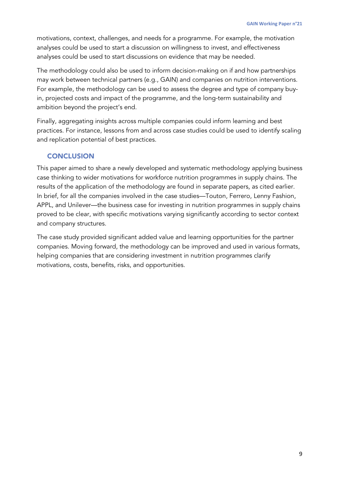motivations, context, challenges, and needs for a programme. For example, the motivation analyses could be used to start a discussion on willingness to invest, and effectiveness analyses could be used to start discussions on evidence that may be needed.

The methodology could also be used to inform decision-making on if and how partnerships may work between technical partners (e.g., GAIN) and companies on nutrition interventions. For example, the methodology can be used to assess the degree and type of company buyin, projected costs and impact of the programme, and the long-term sustainability and ambition beyond the project's end.

Finally, aggregating insights across multiple companies could inform learning and best practices. For instance, lessons from and across case studies could be used to identify scaling and replication potential of best practices.

# **CONCLUSION**

This paper aimed to share a newly developed and systematic methodology applying business case thinking to wider motivations for workforce nutrition programmes in supply chains. The results of the application of the methodology are found in separate papers, as cited earlier. In brief, for all the companies involved in the case studies—Touton, Ferrero, Lenny Fashion, APPL, and Unilever—the business case for investing in nutrition programmes in supply chains proved to be clear, with specific motivations varying significantly according to sector context and company structures.

The case study provided significant added value and learning opportunities for the partner companies. Moving forward, the methodology can be improved and used in various formats, helping companies that are considering investment in nutrition programmes clarify motivations, costs, benefits, risks, and opportunities.